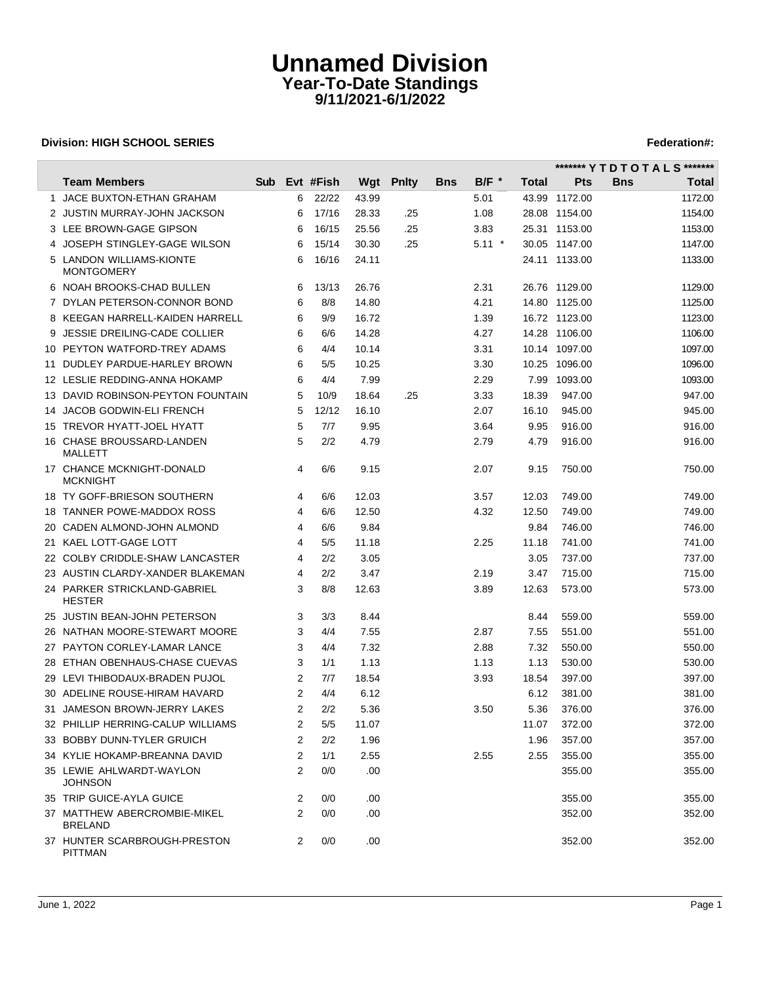# **Unnamed Division Year-To-Date Standings 9/11/2021-6/1/2022**

### **Division: HIGH SCHOOL SERIES** Federation And The SCHOOL SERIES Federation and The SCHOOL SERIES Federation and The SCHOOL SERIES FEDERATION ASSAULT AND THE SCHOOL SERIES FEDERATION ASSAULT AND THE SCHOOL SERIES FEDERATION

 $\overline{\phantom{a}}$ 

|                                                |            |   |           |       |              |             |                    |       | ******* Y T D T O T A L S ******* |            |         |
|------------------------------------------------|------------|---|-----------|-------|--------------|-------------|--------------------|-------|-----------------------------------|------------|---------|
| <b>Team Members</b>                            | <b>Sub</b> |   | Evt #Fish | Wgt   | <b>Pnity</b> | <b>B</b> ns | $B/F$ <sup>*</sup> | Total | Pts                               | <b>Bns</b> | Total   |
| 1 JACE BUXTON-ETHAN GRAHAM                     |            | 6 | 22/22     | 43.99 |              |             | 5.01               |       | 43.99 1172.00                     |            | 1172.00 |
| 2 JUSTIN MURRAY-JOHN JACKSON                   |            | 6 | 17/16     | 28.33 | .25          |             | 1.08               |       | 28.08 1154.00                     |            | 1154.00 |
| 3 LEE BROWN-GAGE GIPSON                        |            | 6 | 16/15     | 25.56 | .25          |             | 3.83               |       | 25.31 1153.00                     |            | 1153.00 |
| 4 JOSEPH STINGLEY-GAGE WILSON                  |            | 6 | 15/14     | 30.30 | .25          |             | $5.11$ *           |       | 30.05 1147.00                     |            | 1147.00 |
| 5 LANDON WILLIAMS-KIONTE<br><b>MONTGOMERY</b>  |            | 6 | 16/16     | 24.11 |              |             |                    |       | 24.11 1133.00                     |            | 1133.00 |
| 6 NOAH BROOKS-CHAD BULLEN                      |            | 6 | 13/13     | 26.76 |              |             | 2.31               |       | 26.76 1129.00                     |            | 1129.00 |
| 7 DYLAN PETERSON-CONNOR BOND                   |            | 6 | 8/8       | 14.80 |              |             | 4.21               |       | 14.80 1125.00                     |            | 1125.00 |
| 8 KEEGAN HARRELL-KAIDEN HARRELL                |            | 6 | 9/9       | 16.72 |              |             | 1.39               |       | 16.72 1123.00                     |            | 1123.00 |
| 9 JESSIE DREILING-CADE COLLIER                 |            | 6 | 6/6       | 14.28 |              |             | 4.27               |       | 14.28 1106.00                     |            | 1106.00 |
| 10 PEYTON WATFORD-TREY ADAMS                   |            | 6 | 4/4       | 10.14 |              |             | 3.31               |       | 10.14 1097.00                     |            | 1097.00 |
| 11 DUDLEY PARDUE-HARLEY BROWN                  |            | 6 | 5/5       | 10.25 |              |             | 3.30               |       | 10.25 1096.00                     |            | 1096.00 |
| 12 LESLIE REDDING-ANNA HOKAMP                  |            | 6 | 4/4       | 7.99  |              |             | 2.29               |       | 7.99 1093.00                      |            | 1093.00 |
| 13 DAVID ROBINSON-PEYTON FOUNTAIN              |            | 5 | 10/9      | 18.64 | .25          |             | 3.33               | 18.39 | 947.00                            |            | 947.00  |
| 14 JACOB GODWIN-ELI FRENCH                     |            | 5 | 12/12     | 16.10 |              |             | 2.07               | 16.10 | 945.00                            |            | 945.00  |
| 15 TREVOR HYATT-JOEL HYATT                     |            | 5 | 7/7       | 9.95  |              |             | 3.64               | 9.95  | 916.00                            |            | 916.00  |
| 16 CHASE BROUSSARD-LANDEN<br>MALLETT           |            | 5 | 2/2       | 4.79  |              |             | 2.79               | 4.79  | 916.00                            |            | 916.00  |
| 17 CHANCE MCKNIGHT-DONALD<br><b>MCKNIGHT</b>   |            | 4 | 6/6       | 9.15  |              |             | 2.07               | 9.15  | 750.00                            |            | 750.00  |
| 18 TY GOFF-BRIESON SOUTHERN                    |            | 4 | 6/6       | 12.03 |              |             | 3.57               | 12.03 | 749.00                            |            | 749.00  |
| 18 TANNER POWE-MADDOX ROSS                     |            | 4 | 6/6       | 12.50 |              |             | 4.32               | 12.50 | 749.00                            |            | 749.00  |
| 20 CADEN ALMOND-JOHN ALMOND                    |            | 4 | 6/6       | 9.84  |              |             |                    | 9.84  | 746.00                            |            | 746.00  |
| 21 KAEL LOTT-GAGE LOTT                         |            | 4 | 5/5       | 11.18 |              |             | 2.25               | 11.18 | 741.00                            |            | 741.00  |
| 22 COLBY CRIDDLE-SHAW LANCASTER                |            | 4 | 2/2       | 3.05  |              |             |                    | 3.05  | 737.00                            |            | 737.00  |
| 23 AUSTIN CLARDY-XANDER BLAKEMAN               |            | 4 | 2/2       | 3.47  |              |             | 2.19               | 3.47  | 715.00                            |            | 715.00  |
| 24 PARKER STRICKLAND-GABRIEL<br><b>HESTER</b>  |            | 3 | 8/8       | 12.63 |              |             | 3.89               | 12.63 | 573.00                            |            | 573.00  |
| 25 JUSTIN BEAN-JOHN PETERSON                   |            | 3 | 3/3       | 8.44  |              |             |                    | 8.44  | 559.00                            |            | 559.00  |
| 26 NATHAN MOORE-STEWART MOORE                  |            | 3 | 4/4       | 7.55  |              |             | 2.87               | 7.55  | 551.00                            |            | 551.00  |
| 27 PAYTON CORLEY-LAMAR LANCE                   |            | 3 | 4/4       | 7.32  |              |             | 2.88               | 7.32  | 550.00                            |            | 550.00  |
| 28 ETHAN OBENHAUS-CHASE CUEVAS                 |            | 3 | 1/1       | 1.13  |              |             | 1.13               | 1.13  | 530.00                            |            | 530.00  |
| 29 LEVI THIBODAUX-BRADEN PUJOL                 |            | 2 | 7/7       | 18.54 |              |             | 3.93               | 18.54 | 397.00                            |            | 397.00  |
| 30 ADELINE ROUSE-HIRAM HAVARD                  |            | 2 | 4/4       | 6.12  |              |             |                    | 6.12  | 381.00                            |            | 381.00  |
| 31 JAMESON BROWN-JERRY LAKES                   |            | 2 | 2/2       | 5.36  |              |             | 3.50               | 5.36  | 376.00                            |            | 376.00  |
| 32 PHILLIP HERRING-CALUP WILLIAMS              |            | 2 | 5/5       | 11.07 |              |             |                    | 11.07 | 372.00                            |            | 372.00  |
| 33 BOBBY DUNN-TYLER GRUICH                     |            | 2 | 2/2       | 1.96  |              |             |                    | 1.96  | 357.00                            |            | 357.00  |
| 34 KYLIE HOKAMP-BREANNA DAVID                  |            | 2 | 1/1       | 2.55  |              |             | 2.55               | 2.55  | 355.00                            |            | 355.00  |
| 35 LEWIE AHLWARDT-WAYLON<br><b>JOHNSON</b>     |            | 2 | 0/0       | .00   |              |             |                    |       | 355.00                            |            | 355.00  |
| 35 TRIP GUICE-AYLA GUICE                       |            | 2 | 0/0       | .00   |              |             |                    |       | 355.00                            |            | 355.00  |
| 37 MATTHEW ABERCROMBIE-MIKEL<br><b>BRELAND</b> |            | 2 | 0/0       | .00   |              |             |                    |       | 352.00                            |            | 352.00  |
| 37 HUNTER SCARBROUGH-PRESTON<br><b>PITTMAN</b> |            | 2 | 0/0       | .00.  |              |             |                    |       | 352.00                            |            | 352.00  |